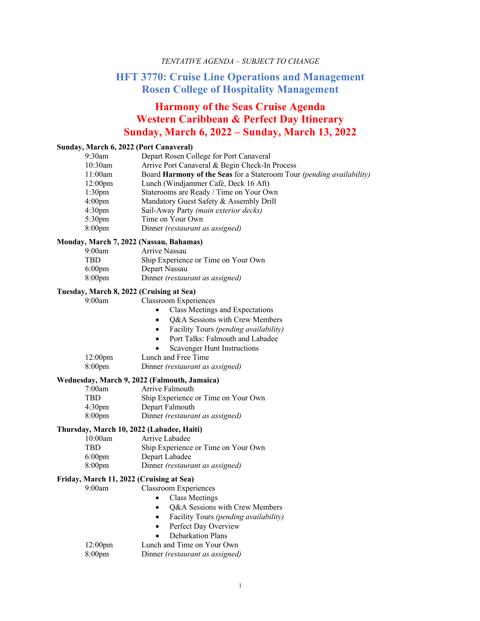## *TENTATIVE AGENDA – SUBJECT TO CHANGE*

# **HFT 3770: Cruise Line Operations and Management Rosen College of Hospitality Management**

# **Harmony of the Seas Cruise Agenda Western Caribbean & Perfect Day Itinerary Sunday, March 6, 2022 – Sunday, March 13, 2022**

#### **Sunday, March 6, 2022 (Port Canaveral)**

| 9:30am             | Depart Rosen College for Port Canaveral                               |
|--------------------|-----------------------------------------------------------------------|
| 10:30am            | Arrive Port Canaveral & Begin Check-In Process                        |
| 11:00am            | Board Harmony of the Seas for a Stateroom Tour (pending availability) |
| $12:00 \text{pm}$  | Lunch (Windjammer Café, Deck 16 Aft)                                  |
| 1:30 <sub>pm</sub> | Staterooms are Ready / Time on Your Own                               |
| 4:00 <sub>pm</sub> | Mandatory Guest Safety & Assembly Drill                               |
| 4:30 <sub>pm</sub> | Sail-Away Party (main exterior decks)                                 |
| 5:30 <sub>pm</sub> | Time on Your Own                                                      |
| 8:00 <sub>pm</sub> | Dinner <i>(restaurant as assigned)</i>                                |
|                    |                                                                       |

#### **Monday, March 7, 2022 (Nassau, Bahamas)**

| 9:00am             | Arrive Nassau                       |
|--------------------|-------------------------------------|
| TBD                | Ship Experience or Time on Your Own |
| 6:00 <sub>pm</sub> | Depart Nassau                       |
| 8:00 <sub>pm</sub> | Dinner (restaurant as assigned)     |

#### **Tuesday, March 8, 2022 (Cruising at Sea)**

9:00am Classroom Experiences

- Class Meetings and Expectations
- Q&A Sessions with Crew Members
- Facility Tours *(pending availability)*
- Port Talks: Falmouth and Labadee
- Scavenger Hunt Instructions

| 12:00 <sub>pm</sub> | Lunch and Free Time             |
|---------------------|---------------------------------|
| $8:00 \text{pm}$    | Dinner (restaurant as assigned) |

#### **Wednesday, March 9, 2022 (Falmouth, Jamaica)**

| 7:00am             | Arrive Falmouth                        |
|--------------------|----------------------------------------|
| <b>TBD</b>         | Ship Experience or Time on Your Own    |
| 4:30 <sub>pm</sub> | Depart Falmouth                        |
| $8:00 \text{pm}$   | Dinner <i>(restaurant as assigned)</i> |
|                    |                                        |

## **Thursday, March 10, 2022 (Labadee, Haiti)**

| 10:00am            | Arrive Labadee                      |
|--------------------|-------------------------------------|
| TBD                | Ship Experience or Time on Your Own |
| $6:00$ pm          | Depart Labadee                      |
| 8:00 <sub>pm</sub> | Dinner (restaurant as assigned)     |

#### **Friday, March 11, 2022 (Cruising at Sea)**

9:00am Classroom Experiences

- Class Meetings
- Q&A Sessions with Crew Members
- Facility Tours *(pending availability)*
- Perfect Day Overview
- Debarkation Plans

| $12:00$ pm | Lunch and Time on Your Own |  |
|------------|----------------------------|--|
| ___        |                            |  |

## 8:00pm Dinner *(restaurant as assigned)*